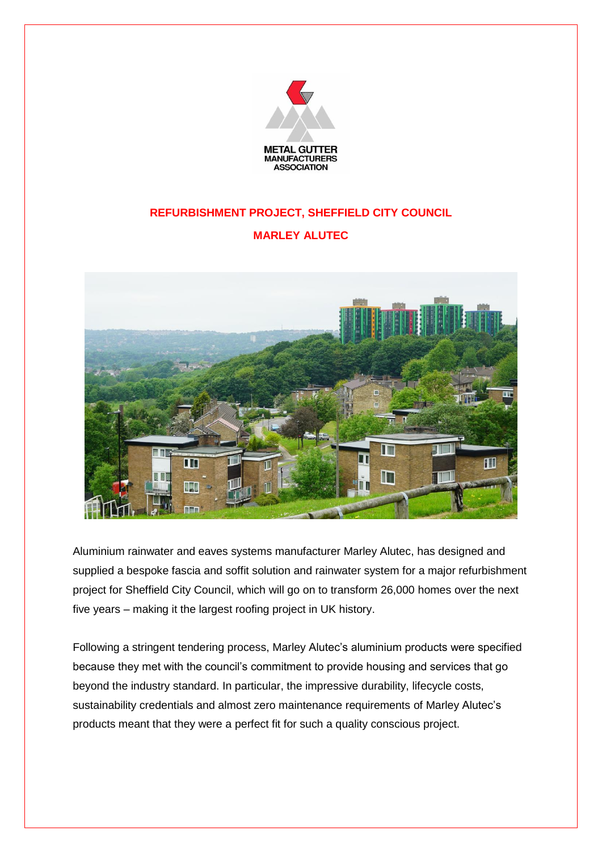

## **REFURBISHMENT PROJECT, SHEFFIELD CITY COUNCIL**

## **MARLEY ALUTEC**



Aluminium rainwater and eaves systems manufacturer Marley Alutec, has designed and supplied a bespoke fascia and soffit solution and rainwater system for a major refurbishment project for Sheffield City Council, which will go on to transform 26,000 homes over the next five years – making it the largest roofing project in UK history.

Following a stringent tendering process, Marley Alutec's aluminium products were specified because they met with the council's commitment to provide housing and services that go beyond the industry standard. In particular, the impressive durability, lifecycle costs, sustainability credentials and almost zero maintenance requirements of Marley Alutec's products meant that they were a perfect fit for such a quality conscious project.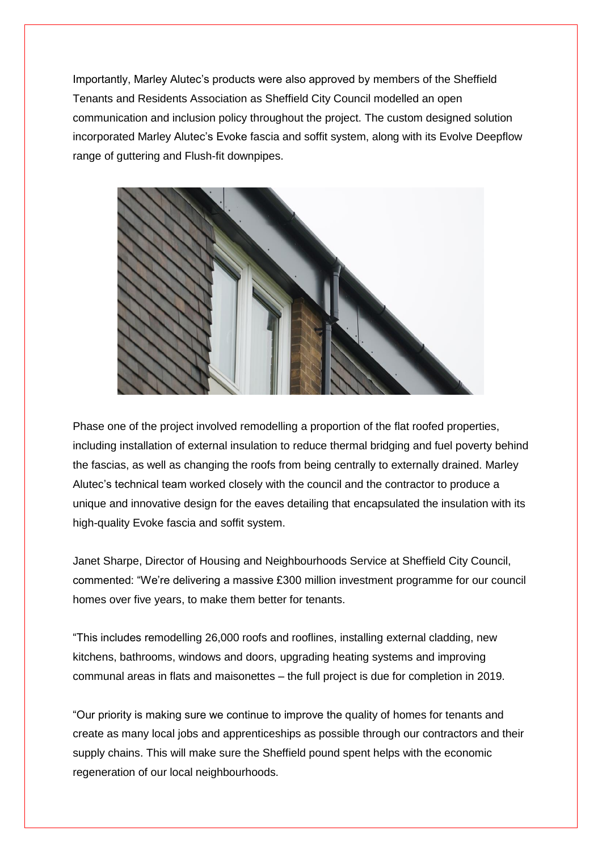Importantly, Marley Alutec's products were also approved by members of the Sheffield Tenants and Residents Association as Sheffield City Council modelled an open communication and inclusion policy throughout the project. The custom designed solution incorporated Marley Alutec's Evoke fascia and soffit system, along with its Evolve Deepflow range of guttering and Flush-fit downpipes.



Phase one of the project involved remodelling a proportion of the flat roofed properties, including installation of external insulation to reduce thermal bridging and fuel poverty behind the fascias, as well as changing the roofs from being centrally to externally drained. Marley Alutec's technical team worked closely with the council and the contractor to produce a unique and innovative design for the eaves detailing that encapsulated the insulation with its high-quality Evoke fascia and soffit system.

Janet Sharpe, Director of Housing and Neighbourhoods Service at Sheffield City Council, commented: "We're delivering a massive £300 million investment programme for our council homes over five years, to make them better for tenants.

"This includes remodelling 26,000 roofs and rooflines, installing external cladding, new kitchens, bathrooms, windows and doors, upgrading heating systems and improving communal areas in flats and maisonettes – the full project is due for completion in 2019.

"Our priority is making sure we continue to improve the quality of homes for tenants and create as many local jobs and apprenticeships as possible through our contractors and their supply chains. This will make sure the Sheffield pound spent helps with the economic regeneration of our local neighbourhoods.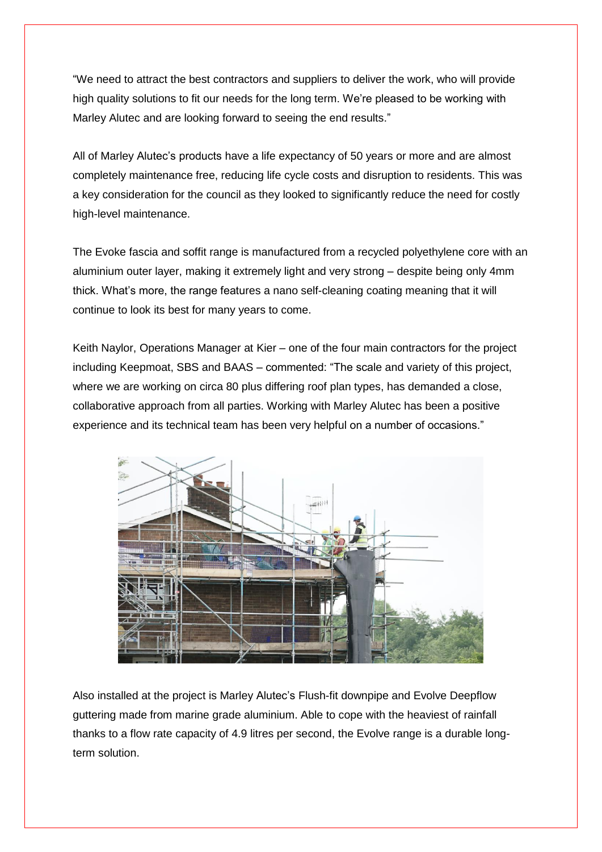"We need to attract the best contractors and suppliers to deliver the work, who will provide high quality solutions to fit our needs for the long term. We're pleased to be working with Marley Alutec and are looking forward to seeing the end results."

All of Marley Alutec's products have a life expectancy of 50 years or more and are almost completely maintenance free, reducing life cycle costs and disruption to residents. This was a key consideration for the council as they looked to significantly reduce the need for costly high-level maintenance.

The Evoke fascia and soffit range is manufactured from a recycled polyethylene core with an aluminium outer layer, making it extremely light and very strong – despite being only 4mm thick. What's more, the range features a nano self-cleaning coating meaning that it will continue to look its best for many years to come.

Keith Naylor, Operations Manager at Kier – one of the four main contractors for the project including Keepmoat, SBS and BAAS – commented: "The scale and variety of this project, where we are working on circa 80 plus differing roof plan types, has demanded a close, collaborative approach from all parties. Working with Marley Alutec has been a positive experience and its technical team has been very helpful on a number of occasions."



Also installed at the project is Marley Alutec's Flush-fit downpipe and Evolve Deepflow guttering made from marine grade aluminium. Able to cope with the heaviest of rainfall thanks to a flow rate capacity of 4.9 litres per second, the Evolve range is a durable longterm solution.